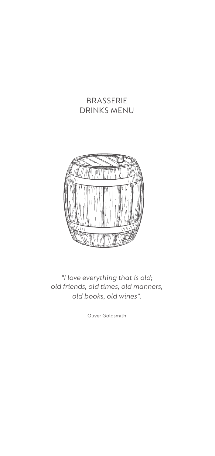# BRASSERIE DRINKS MENU



*"I love everything that is old; old friends, old times, old manners, old books, old wines".*

Oliver Goldsmith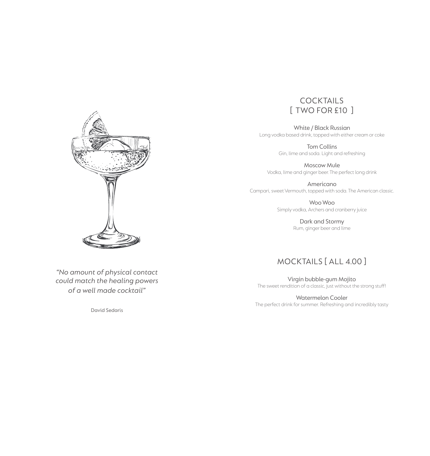

*"No amount of physical contact could match the healing powers of a well made cocktail"*

David Sedaris

## **COCKTAILS** [ Two for £10 ]

White / Black Russian Long vodka based drink, topped with either cream or coke

> Tom Collins Gin, lime and soda. Light and refreshing

Moscow Mule Vodka, lime and ginger beer. The perfect long drink

Americano Campari, sweet Vermouth, topped with soda. The American classic.

> Woo Woo Simply vodka, Archers and cranberry juice

> > Dark and Stormy Rum, ginger beer and lime

## MOCKTAILS [ All 4.00 ]

Virgin bubble-gum Mojito The sweet rendition of a classic, just without the strong stuff!

Watermelon Cooler The perfect drink for summer. Refreshing and incredibly tasty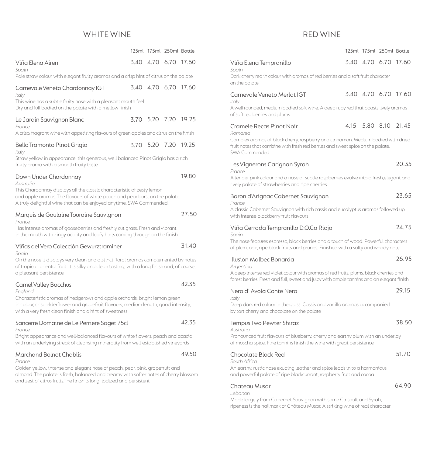## WHITE WINE

|                                                                                                                                                                                                                                               |                | 125ml 175ml 250ml Bottle |       |
|-----------------------------------------------------------------------------------------------------------------------------------------------------------------------------------------------------------------------------------------------|----------------|--------------------------|-------|
| Viña Elena Airen<br>Spain                                                                                                                                                                                                                     |                | 3.40 4.70 6.70 17.60     |       |
| Pale straw colour with elegant fruity aromas and a crisp hint of citrus on the palate                                                                                                                                                         |                |                          |       |
| Carnevale Veneto Chardonnay IGT<br>Italy                                                                                                                                                                                                      | 3.40 4.70 6.70 |                          | 17.60 |
| This wine has a subtle fruity nose with a pleasant mouth feel.<br>Dry and full bodied on the palate with a mellow finish                                                                                                                      |                |                          |       |
| Le Jardin Sauvignon Blanc<br>France                                                                                                                                                                                                           |                | 3.70 5.20 7.20 19.25     |       |
| A crisp, fragrant wine with appetising flavours of green apples and citrus on the finish                                                                                                                                                      |                |                          |       |
| <b>Bello Tramonto Pinot Grigio</b><br>Italy                                                                                                                                                                                                   |                | 3.70 5.20 7.20 19.25     |       |
| Straw yellow in appearance, this generous, well balanced Pinot Grigio has a rich<br>fruity aroma with a smooth fruity taste                                                                                                                   |                |                          |       |
| Down Under Chardonnay<br>Australia                                                                                                                                                                                                            |                |                          | 19.80 |
| This Chardonnay displays all the classic characteristic of zesty lemon<br>and apple aromas. The flavours of white peach and pear burst on the palate.<br>A truly delightful wine that can be enjoyed anytime. SWA Commended.                  |                |                          |       |
| Marquis de Goulaine Touraine Sauvignon<br>France                                                                                                                                                                                              |                |                          | 27.50 |
| Has intense aromas of gooseberries and freshly cut grass. Fresh and vibrant<br>in the mouth with zingy acidity and leafy hints coming through on the finish                                                                                   |                |                          |       |
| Viñas del Vero Colección Gewurztraminer<br>Spain                                                                                                                                                                                              |                |                          | 31.40 |
| On the nose it displays very clean and distinct floral aromas complemented by notes<br>of tropical, oriental fruit. It is silky and clean tasting, with a long finish and, of course,<br>a pleasant persistence                               |                |                          |       |
| <b>Camel Valley Bacchus</b><br>England                                                                                                                                                                                                        |                |                          | 42.35 |
| Characteristic aromas of hedgerows and apple orchards, bright lemon green<br>in colour, crisp elderflower and grapefruit flavours, medium length, good intensity,<br>with a very fresh clean finish and a hint of sweetness                   |                |                          |       |
| Sancerre Domaine de Le Perriere Saget 75cl<br>France                                                                                                                                                                                          |                |                          | 42.35 |
| Bright appearance and well-balanced flavours of white flowers, peach and acacia<br>with an underlying streak of cleansing minerality from well-established vineyards                                                                          |                |                          |       |
| <b>Marchand Bolnot Chablis</b><br>France                                                                                                                                                                                                      |                |                          | 49.50 |
| Golden yellow, intense and elegant nose of peach, pear, pink, grapefruit and<br>almond. The palate is fresh, balanced and creamy with softer notes of cherry blossom<br>and zest of citrus fruits. The finish is long, iodized and persistent |                |                          |       |

# RED Wine

|                                                                                                                                                                                     |      |           | 125ml 175ml 250ml Bottle |                      |
|-------------------------------------------------------------------------------------------------------------------------------------------------------------------------------------|------|-----------|--------------------------|----------------------|
| Viña Elena Tempranillo<br>Spain                                                                                                                                                     |      |           | 3.40 4.70 6.70 17.60     |                      |
| Dark cherry red in colour with aromas of red berries and a soft fruit character<br>on the palate                                                                                    |      |           |                          |                      |
| Carnevale Veneto Merlot IGT<br>Italy                                                                                                                                                |      |           |                          | 3.40 4.70 6.70 17.60 |
| A well rounded, medium bodied soft wine. A deep ruby red that boasts lively aromas<br>of soft red berries and plums                                                                 |      |           |                          |                      |
| <b>Cramele Recas Pinot Noir</b><br>Romania                                                                                                                                          | 4.15 | 5.80 8.10 |                          | 21.45                |
| Complex aromas of black cherry, raspberry and cinnamon. Medium bodied with dried<br>fruit notes that combine with fresh red berries and sweet spice on the palate.<br>SWA Commended |      |           |                          |                      |
| Les Vignerons Carignan Syrah<br>France                                                                                                                                              |      |           |                          | 20.35                |
| A tender pink colour and a nose of subtle raspberries evolve into a fresh, elegant and<br>lively palate of strawberries and ripe cherries                                           |      |           |                          |                      |
| Baron d'Arignac Cabernet Sauvignon<br>France                                                                                                                                        |      |           |                          | 23.65                |
| A classic Cabernet Sauvignon with rich cassis and eucalyptus aromas followed up<br>with intense blackberry fruit flavours                                                           |      |           |                          |                      |
| Viña Cerrada Tempranillo D.O.Ca Rioja<br>Spain                                                                                                                                      |      |           |                          | 24.75                |
| The nose features espresso, black berries and a touch of wood. Powerful characters<br>of plum, oak, ripe black fruits and prunes. Finished with a salty and woody note              |      |           |                          |                      |
| Illusion Malbec Bonarda<br>Argentina                                                                                                                                                |      |           |                          | 26.95                |
| A deep intense red-violet colour with aromas of red fruits, plums, black cherries and<br>forest berries. Fresh and full, sweet and juicy with ample tannins and an elegant finish   |      |           |                          |                      |
| Nero d'Avola Conte Nero<br>Italy                                                                                                                                                    |      |           |                          | 29.15                |
| Deep dark red colour in the glass. Cassis and vanilla aromas accompanied<br>by tart cherry and chocolate on the palate                                                              |      |           |                          |                      |
| Tempus Two Pewter Shiraz<br>Australia                                                                                                                                               |      |           |                          | 38.50                |
| Pronounced fruit flavours of blueberry, cherry and earthy plum with an underlay<br>of moscha spice. Fine tannins finish the wine with great persistence                             |      |           |                          |                      |
| <b>Chocolate Block Red</b><br>South Africa                                                                                                                                          |      |           |                          | 51.70                |
| An earthy, rustic nose exuding leather and spice leads in to a harmonious<br>and powerful palate of ripe blackcurrant, raspberry fruit and cocoa                                    |      |           |                          |                      |
| Chateau Musar<br>Lebanon                                                                                                                                                            |      |           |                          | 64.90                |

Made largely from Cabernet Sauvignon with some Cinsault and Syrah, ripeness is the hallmark of Château Musar. A striking wine of real character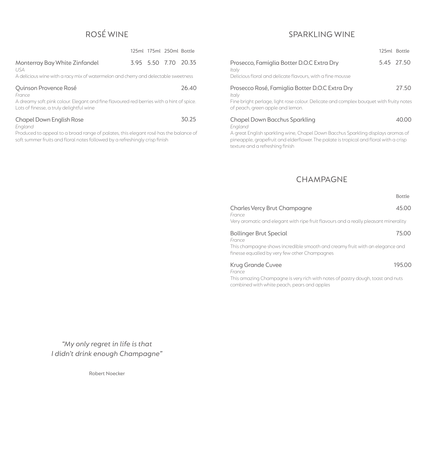# ROSé Wine

|                                                                                                                                                                     |  |  | 125ml 175ml 250ml Bottle |                      |
|---------------------------------------------------------------------------------------------------------------------------------------------------------------------|--|--|--------------------------|----------------------|
| Monterray Bay White Zinfandel<br>USA.                                                                                                                               |  |  |                          | 3.95 5.50 7.70 20.35 |
| A delicious wine with a racy mix of watermelon and cherry and delectable sweetness                                                                                  |  |  |                          |                      |
| Quinson Provence Rosé<br>France                                                                                                                                     |  |  |                          | 26.40                |
| A dreamy soft pink colour. Elegant and fine flavoured red berries with a hint of spice.<br>Lots of finesse, a truly delightful wine                                 |  |  |                          |                      |
| Chapel Down English Rose<br>England                                                                                                                                 |  |  |                          | 30.25                |
| Produced to appeal to a broad range of palates, this elegant rosé has the balance of<br>soft summer fruits and floral notes followed by a refreshingly crisp finish |  |  |                          |                      |

## Sparkling WINE

|                                                                                                                            | 125ml Bottle |                |
|----------------------------------------------------------------------------------------------------------------------------|--------------|----------------|
| Prosecco, Famiglia Botter D.O.C Extra Dry<br>Italy<br>Delicious floral and delicate flavours, with a fine mousse           |              | 5.45 27.50     |
| Prosecco Rosé, Famiglia Botter D.O.C Extra Dry<br>Italv                                                                    |              | 27.50          |
| Fine bright perlage, light rose colour. Delicate and complex bouquet with fruity notes<br>of peach, green apple and lemon. |              |                |
| Chapel Down Bacchus Sparkling<br>Enaland                                                                                   |              | $\Delta()()()$ |

A great English sparkling wine, Chapel Down Bacchus Sparkling displays aromas of pineapple, grapefruit and elderflower. The palate is tropical and floral with a crisp texture and a refreshing finish

# CHAMPAGNE

|                                                                                                                               | <b>Bottle</b> |
|-------------------------------------------------------------------------------------------------------------------------------|---------------|
| Charles Vercy Brut Champagne<br>France                                                                                        | 45.00         |
| Very aromatic and elegant with ripe fruit flavours and a really pleasant minerality                                           |               |
| <b>Bollinger Brut Special</b><br>France                                                                                       | 75.00         |
| This champagne shows incredible smooth and creamy fruit with an elegance and<br>finesse equalled by very few other Champagnes |               |
| Krug Grande Cuvee                                                                                                             | 195.00        |
| France<br>This amazing Champagne is very rich with notes of pastry dough, toast and nuts                                      |               |

This amazing Champagne is very rich with notes of pastry dough, toast and nuts combined with white peach, pears and apples

*"My only regret in life is that I didn't drink enough Champagne"*

Robert Noecker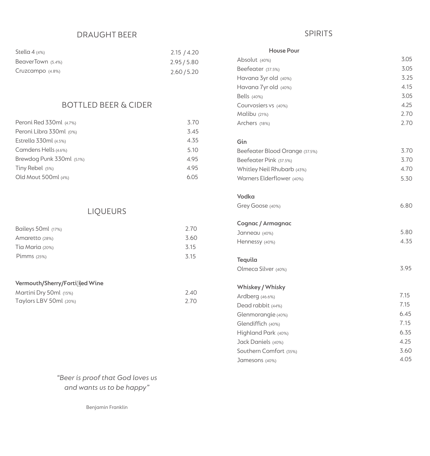#### Draught Beer

| Stella 4 $(4%)$    | 2.15 / 4.20 |
|--------------------|-------------|
| BeaverTown (5.4%)  | 2.95/5.80   |
| $Cruzcampo$ (4.8%) | 2.60 / 5.20 |

## Bottled Beer & CIDER

| Peroni Red 330ml (4.7%)   | 3.70 |
|---------------------------|------|
| Peroni Libra 330ml (0%)   | 3.45 |
| Estrella 330ml (4.5%)     | 4.35 |
| Camdens Hells (4.6%)      | 5.10 |
| Brewdog Punk 330ml (5.1%) | 4.95 |
| Tiny Rebel (5%)           | 4.95 |
| Old Mout 500ml (4%)       | 6.05 |

# **LIQUEURS**

| Baileys 50ml (17%) | 2.70 |
|--------------------|------|
| Amaretto (28%)     | 3.60 |
| Tia Maria (20%)    | 3.15 |
| Pimms $(25%)$      | 315  |

#### **Vermouth/Sherry/Fortif ied Wine**

| Martini Dry 50ml (15%) | 2.40 |
|------------------------|------|
| Taylors LBV 50ml (20%) | 2.70 |

#### SPIRITS

| <b>House Pour</b>              |      |
|--------------------------------|------|
| Absolut (40%)                  | 3.05 |
| Beefeater (37.5%)              | 3.05 |
| Havana 3yr old (40%)           | 3.25 |
| Havana 7yr old (40%)           | 4.15 |
| Bells (40%)                    | 3.05 |
| Courvosiers vs (40%)           | 4.25 |
| Malibu $(21%)$                 | 2.70 |
| Archers (18%)                  | 2.70 |
| Gin                            |      |
| Beefeater Blood Orange (37.5%) | 3.70 |
| Beefeater Pink (37.5%)         | 3.70 |
| Whitley Neil Rhubarb (43%)     | 4.70 |
| Warners Elderflower (40%)      | 5.30 |
| <b>Vodka</b>                   |      |
| Grey Goose (40%)               | 6.80 |
| <b>Cognac / Armagnac</b>       |      |
| Janneau (40%)                  | 5.80 |
| Hennessy (40%)                 | 4.35 |
| Tequila                        |      |
| Olmeca Silver (40%)            | 3.95 |
| Whiskey / Whisky               |      |
| Ardberg (46.6%)                | 7.15 |
| Dead rabbit (44%)              | 7.15 |
| Glenmorangie (40%)             | 6.45 |
| Glendiffich (40%)              | 7.15 |
| Highland Park (40%)            | 6.35 |
| Jack Daniels (40%)             | 4.25 |
| Southern Comfort (35%)         | 3.60 |
| Jamesons (40%)                 | 4.05 |

*"Beer is proof that God loves us and wants us to be happy"*

Benjamin Franklin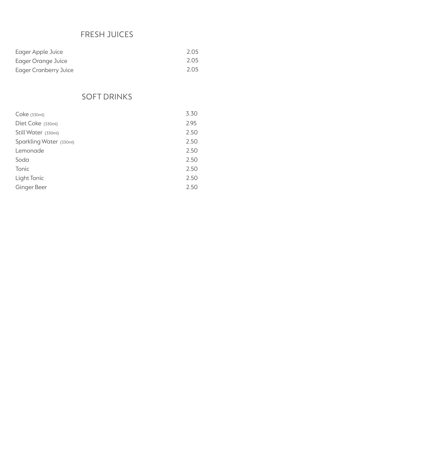# FRESH JUICES

| Eager Apple Juice     | 2.05 |
|-----------------------|------|
| Eager Orange Juice    | 2.05 |
| Eager Cranberry Juice | 2.05 |

# SOFT DRINKS

| Coke (330ml)            | 3.30 |
|-------------------------|------|
| Diet Coke (330ml)       | 2.95 |
| Still Water (330ml)     | 2.50 |
| Sparkling Water (330ml) | 2.50 |
| Lemonade                | 2.50 |
| Soda                    | 2.50 |
| Tonic                   | 2.50 |
| Light Tonic             | 2.50 |
| Ginger Beer             | 2.50 |